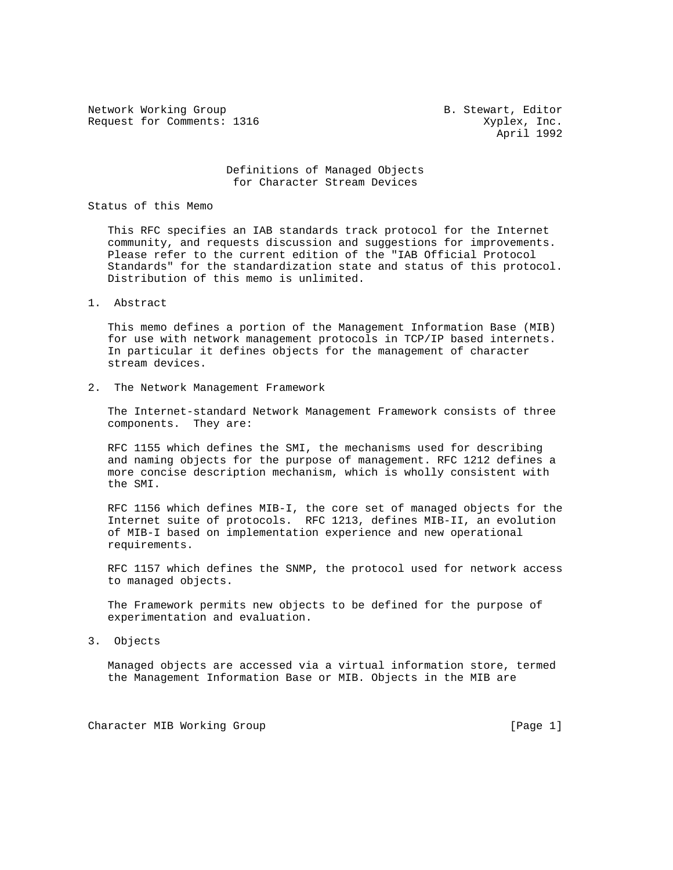Network Working Group and B. Stewart, Editor Request for Comments: 1316 Xyplex, Inc.

April 1992

## Definitions of Managed Objects for Character Stream Devices

Status of this Memo

 This RFC specifies an IAB standards track protocol for the Internet community, and requests discussion and suggestions for improvements. Please refer to the current edition of the "IAB Official Protocol Standards" for the standardization state and status of this protocol. Distribution of this memo is unlimited.

1. Abstract

 This memo defines a portion of the Management Information Base (MIB) for use with network management protocols in TCP/IP based internets. In particular it defines objects for the management of character stream devices.

2. The Network Management Framework

 The Internet-standard Network Management Framework consists of three components. They are:

 RFC 1155 which defines the SMI, the mechanisms used for describing and naming objects for the purpose of management. RFC 1212 defines a more concise description mechanism, which is wholly consistent with the SMI.

 RFC 1156 which defines MIB-I, the core set of managed objects for the Internet suite of protocols. RFC 1213, defines MIB-II, an evolution of MIB-I based on implementation experience and new operational requirements.

 RFC 1157 which defines the SNMP, the protocol used for network access to managed objects.

 The Framework permits new objects to be defined for the purpose of experimentation and evaluation.

3. Objects

 Managed objects are accessed via a virtual information store, termed the Management Information Base or MIB. Objects in the MIB are

Character MIB Working Group [Page 1]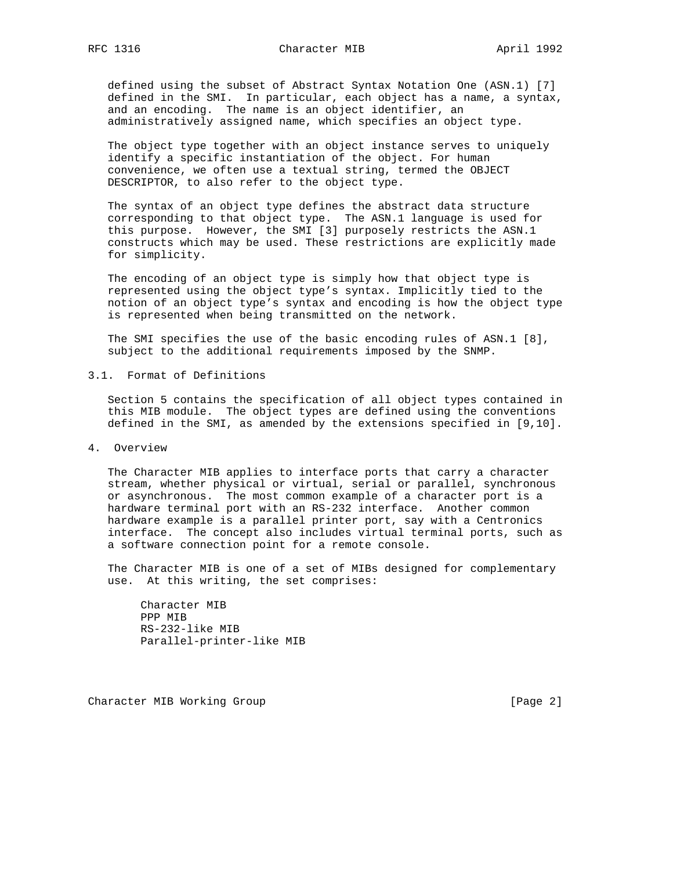defined using the subset of Abstract Syntax Notation One (ASN.1) [7] defined in the SMI. In particular, each object has a name, a syntax, and an encoding. The name is an object identifier, an administratively assigned name, which specifies an object type.

 The object type together with an object instance serves to uniquely identify a specific instantiation of the object. For human convenience, we often use a textual string, termed the OBJECT DESCRIPTOR, to also refer to the object type.

 The syntax of an object type defines the abstract data structure corresponding to that object type. The ASN.1 language is used for this purpose. However, the SMI [3] purposely restricts the ASN.1 constructs which may be used. These restrictions are explicitly made for simplicity.

 The encoding of an object type is simply how that object type is represented using the object type's syntax. Implicitly tied to the notion of an object type's syntax and encoding is how the object type is represented when being transmitted on the network.

 The SMI specifies the use of the basic encoding rules of ASN.1 [8], subject to the additional requirements imposed by the SNMP.

3.1. Format of Definitions

 Section 5 contains the specification of all object types contained in this MIB module. The object types are defined using the conventions defined in the SMI, as amended by the extensions specified in [9,10].

4. Overview

 The Character MIB applies to interface ports that carry a character stream, whether physical or virtual, serial or parallel, synchronous or asynchronous. The most common example of a character port is a hardware terminal port with an RS-232 interface. Another common hardware example is a parallel printer port, say with a Centronics interface. The concept also includes virtual terminal ports, such as a software connection point for a remote console.

 The Character MIB is one of a set of MIBs designed for complementary use. At this writing, the set comprises:

 Character MIB PPP MIB RS-232-like MIB Parallel-printer-like MIB

Character MIB Working Group [Page 2]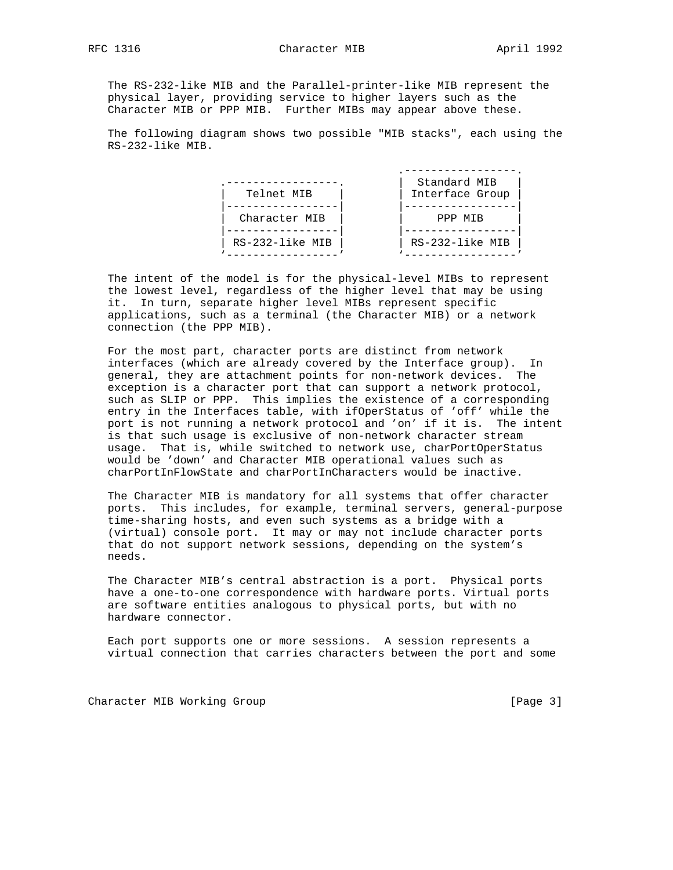The RS-232-like MIB and the Parallel-printer-like MIB represent the physical layer, providing service to higher layers such as the Character MIB or PPP MIB. Further MIBs may appear above these.

 The following diagram shows two possible "MIB stacks", each using the RS-232-like MIB.

|                 | Standard MIB    |
|-----------------|-----------------|
| Telnet MIB      | Interface Group |
|                 |                 |
| Character MIB   | PPP MIB         |
|                 |                 |
| RS-232-like MIB | RS-232-like MIB |
|                 |                 |

 The intent of the model is for the physical-level MIBs to represent the lowest level, regardless of the higher level that may be using it. In turn, separate higher level MIBs represent specific applications, such as a terminal (the Character MIB) or a network connection (the PPP MIB).

 For the most part, character ports are distinct from network interfaces (which are already covered by the Interface group). In general, they are attachment points for non-network devices. The exception is a character port that can support a network protocol, such as SLIP or PPP. This implies the existence of a corresponding entry in the Interfaces table, with ifOperStatus of 'off' while the port is not running a network protocol and 'on' if it is. The intent is that such usage is exclusive of non-network character stream usage. That is, while switched to network use, charPortOperStatus would be 'down' and Character MIB operational values such as charPortInFlowState and charPortInCharacters would be inactive.

 The Character MIB is mandatory for all systems that offer character ports. This includes, for example, terminal servers, general-purpose time-sharing hosts, and even such systems as a bridge with a (virtual) console port. It may or may not include character ports that do not support network sessions, depending on the system's needs.

 The Character MIB's central abstraction is a port. Physical ports have a one-to-one correspondence with hardware ports. Virtual ports are software entities analogous to physical ports, but with no hardware connector.

 Each port supports one or more sessions. A session represents a virtual connection that carries characters between the port and some

Character MIB Working Group [Page 3]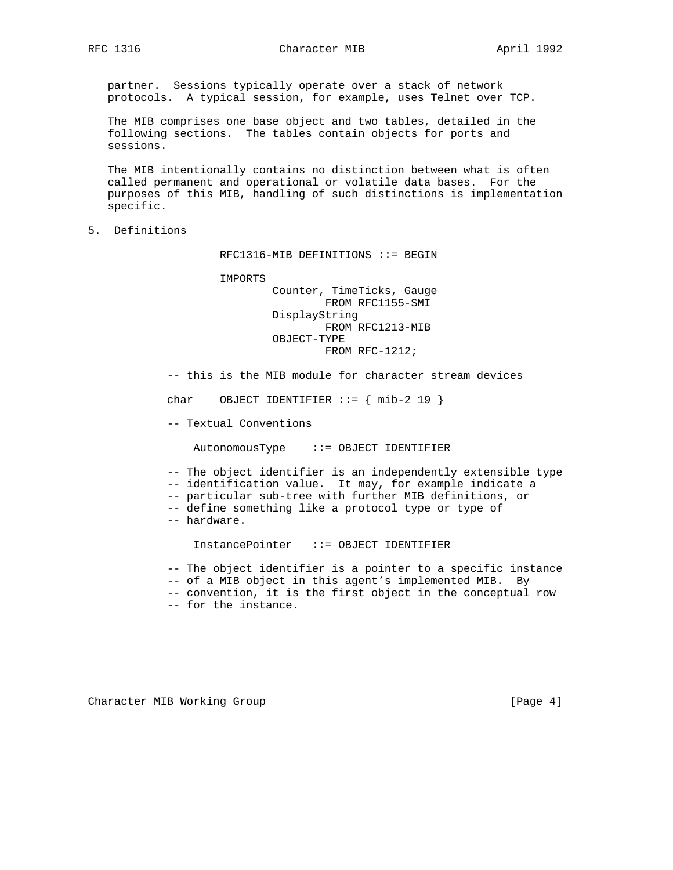partner. Sessions typically operate over a stack of network protocols. A typical session, for example, uses Telnet over TCP.

 The MIB comprises one base object and two tables, detailed in the following sections. The tables contain objects for ports and sessions.

 The MIB intentionally contains no distinction between what is often called permanent and operational or volatile data bases. For the purposes of this MIB, handling of such distinctions is implementation specific.

5. Definitions

RFC1316-MIB DEFINITIONS ::= BEGIN

 IMPORTS Counter, TimeTicks, Gauge FROM RFC1155-SMI DisplayString FROM RFC1213-MIB OBJECT-TYPE FROM RFC-1212;

-- this is the MIB module for character stream devices

char OBJECT IDENTIFIER  $::=$  { mib-2 19 }

-- Textual Conventions

AutonomousType ::= OBJECT IDENTIFIER

-- The object identifier is an independently extensible type

-- identification value. It may, for example indicate a

-- particular sub-tree with further MIB definitions, or

-- define something like a protocol type or type of

-- hardware.

InstancePointer ::= OBJECT IDENTIFIER

-- The object identifier is a pointer to a specific instance

-- of a MIB object in this agent's implemented MIB. By

-- convention, it is the first object in the conceptual row

-- for the instance.

Character MIB Working Group **Example 20** (Page 4)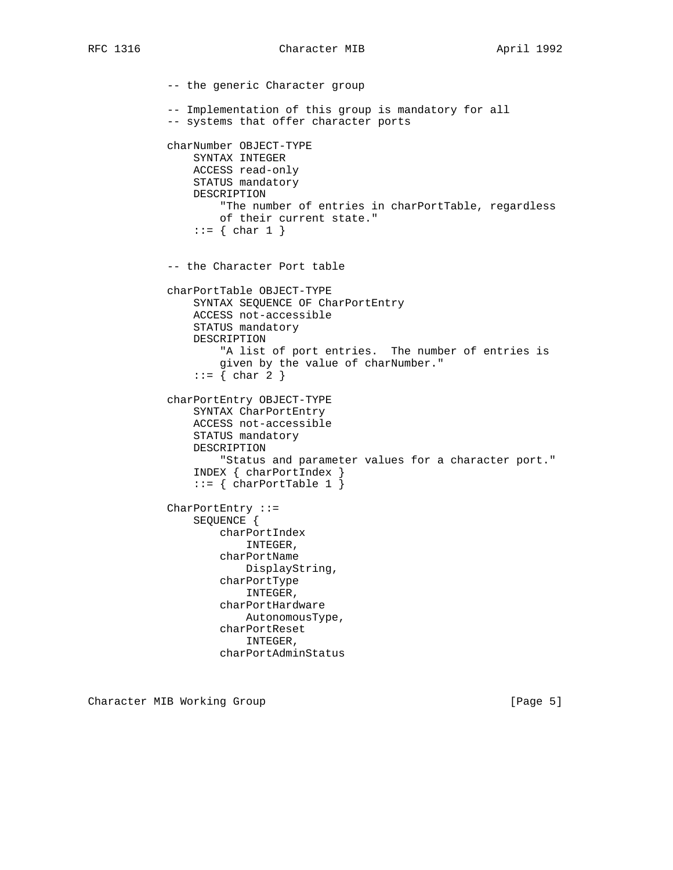-- the generic Character group -- Implementation of this group is mandatory for all -- systems that offer character ports charNumber OBJECT-TYPE SYNTAX INTEGER ACCESS read-only STATUS mandatory DESCRIPTION "The number of entries in charPortTable, regardless of their current state."  $::= \{ char 1 \}$  -- the Character Port table charPortTable OBJECT-TYPE SYNTAX SEQUENCE OF CharPortEntry ACCESS not-accessible STATUS mandatory DESCRIPTION "A list of port entries. The number of entries is given by the value of charNumber."  $::=$  { char 2 } charPortEntry OBJECT-TYPE SYNTAX CharPortEntry ACCESS not-accessible STATUS mandatory DESCRIPTION "Status and parameter values for a character port." INDEX { charPortIndex }  $::=$  { charPortTable 1 } CharPortEntry ::= SEQUENCE { charPortIndex INTEGER, charPortName DisplayString, charPortType INTEGER, charPortHardware AutonomousType, charPortReset INTEGER, charPortAdminStatus

Character MIB Working Group **Example 20** (Page 5)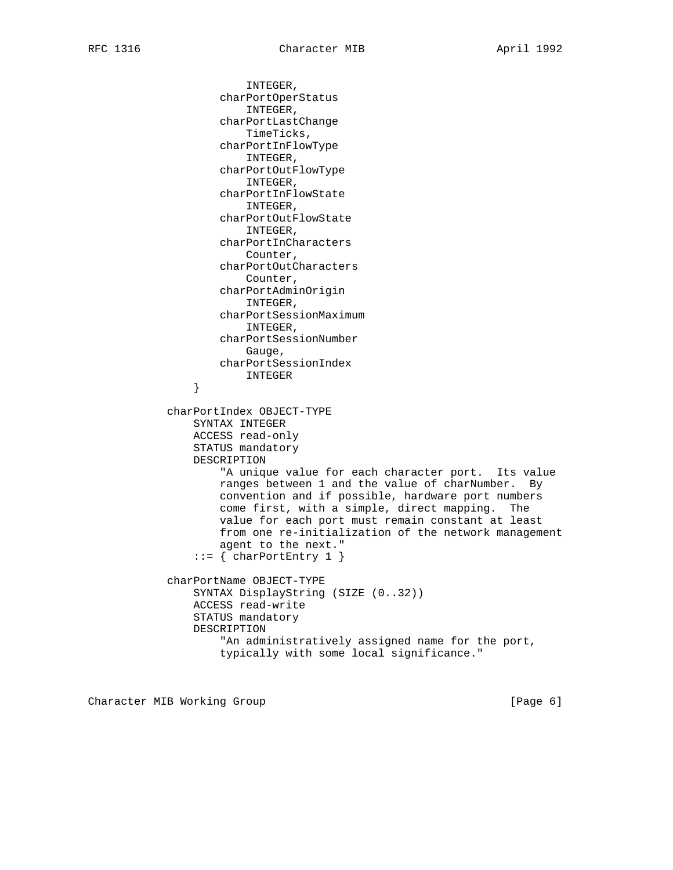INTEGER, charPortOperStatus INTEGER, charPortLastChange TimeTicks, charPortInFlowType INTEGER, charPortOutFlowType INTEGER, charPortInFlowState INTEGER, charPortOutFlowState INTEGER, charPortInCharacters Counter, charPortOutCharacters Counter, charPortAdminOrigin INTEGER, charPortSessionMaximum INTEGER, charPortSessionNumber Gauge, charPortSessionIndex INTEGER } charPortIndex OBJECT-TYPE SYNTAX INTEGER ACCESS read-only STATUS mandatory DESCRIPTION "A unique value for each character port. Its value ranges between 1 and the value of charNumber. By convention and if possible, hardware port numbers come first, with a simple, direct mapping. The value for each port must remain constant at least from one re-initialization of the network management agent to the next."  $::=$  { charPortEntry 1 } charPortName OBJECT-TYPE SYNTAX DisplayString (SIZE (0..32)) ACCESS read-write STATUS mandatory DESCRIPTION "An administratively assigned name for the port, typically with some local significance."

Character MIB Working Group **Example 20** (Page 6)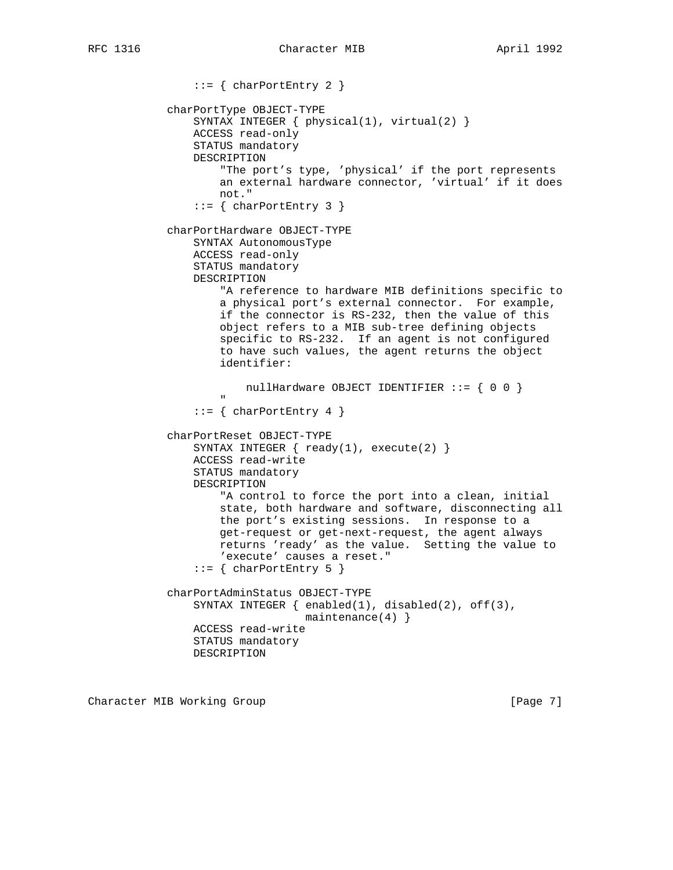```
 ::= { charPortEntry 2 }
            charPortType OBJECT-TYPE
                SYNTAX INTEGER { physical(1), virtual(2) }
                ACCESS read-only
                STATUS mandatory
                DESCRIPTION
                    "The port's type, 'physical' if the port represents
                    an external hardware connector, 'virtual' if it does
                    not."
               ::= { charPortEntry 3 }
            charPortHardware OBJECT-TYPE
                SYNTAX AutonomousType
                ACCESS read-only
                STATUS mandatory
                DESCRIPTION
                    "A reference to hardware MIB definitions specific to
                    a physical port's external connector. For example,
                    if the connector is RS-232, then the value of this
                    object refers to a MIB sub-tree defining objects
                    specific to RS-232. If an agent is not configured
                    to have such values, the agent returns the object
                    identifier:
                       nullHardware OBJECT IDENTIFIER ::= \{ 0 0 \} "
               ::= { charPortEntry 4 }
            charPortReset OBJECT-TYPE
                SYNTAX INTEGER { ready(1), execute(2) }
                ACCESS read-write
                STATUS mandatory
                DESCRIPTION
                    "A control to force the port into a clean, initial
                    state, both hardware and software, disconnecting all
                    the port's existing sessions. In response to a
                    get-request or get-next-request, the agent always
                    returns 'ready' as the value. Setting the value to
                    'execute' causes a reset."
               ::= { charPortEntry 5 }
            charPortAdminStatus OBJECT-TYPE
               SYNTAX INTEGER \{ \text{enabeled}(1), \text{disabeled}(2), \text{off}(3), \} maintenance(4) }
                ACCESS read-write
                STATUS mandatory
                DESCRIPTION
```
Character MIB Working Group **Example 20** (Page 7)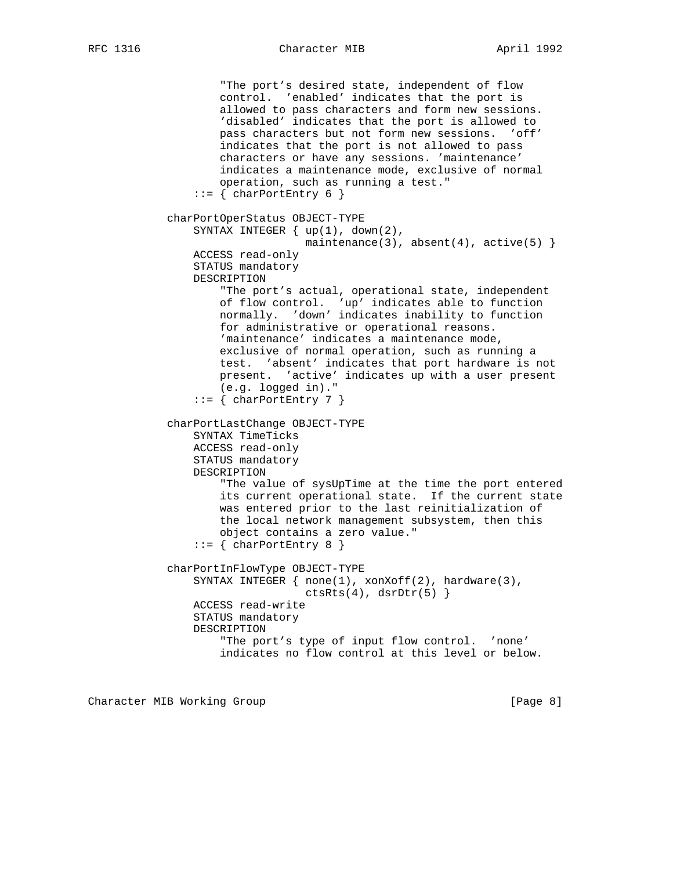"The port's desired state, independent of flow control. 'enabled' indicates that the port is allowed to pass characters and form new sessions. 'disabled' indicates that the port is allowed to pass characters but not form new sessions. 'off' indicates that the port is not allowed to pass characters or have any sessions. 'maintenance' indicates a maintenance mode, exclusive of normal operation, such as running a test."  $::=$  { charPortEntry 6 } charPortOperStatus OBJECT-TYPE SYNTAX INTEGER { up(1), down(2), maintenance(3), absent(4), active(5)  $\}$  ACCESS read-only STATUS mandatory DESCRIPTION "The port's actual, operational state, independent of flow control. 'up' indicates able to function normally. 'down' indicates inability to function for administrative or operational reasons. 'maintenance' indicates a maintenance mode, exclusive of normal operation, such as running a test. 'absent' indicates that port hardware is not present. 'active' indicates up with a user present (e.g. logged in)."  $::=$  { charPortEntry 7 } charPortLastChange OBJECT-TYPE SYNTAX TimeTicks ACCESS read-only STATUS mandatory DESCRIPTION "The value of sysUpTime at the time the port entered its current operational state. If the current state was entered prior to the last reinitialization of the local network management subsystem, then this object contains a zero value."  $::=$  { charPortEntry 8 } charPortInFlowType OBJECT-TYPE SYNTAX INTEGER  $\{ none(1), xonXoff(2), hardware(3),\}$  $ctsRts(4)$ , dsrDtr(5) } ACCESS read-write STATUS mandatory DESCRIPTION "The port's type of input flow control. 'none' indicates no flow control at this level or below.

Character MIB Working Group **Example 20** (Page 8)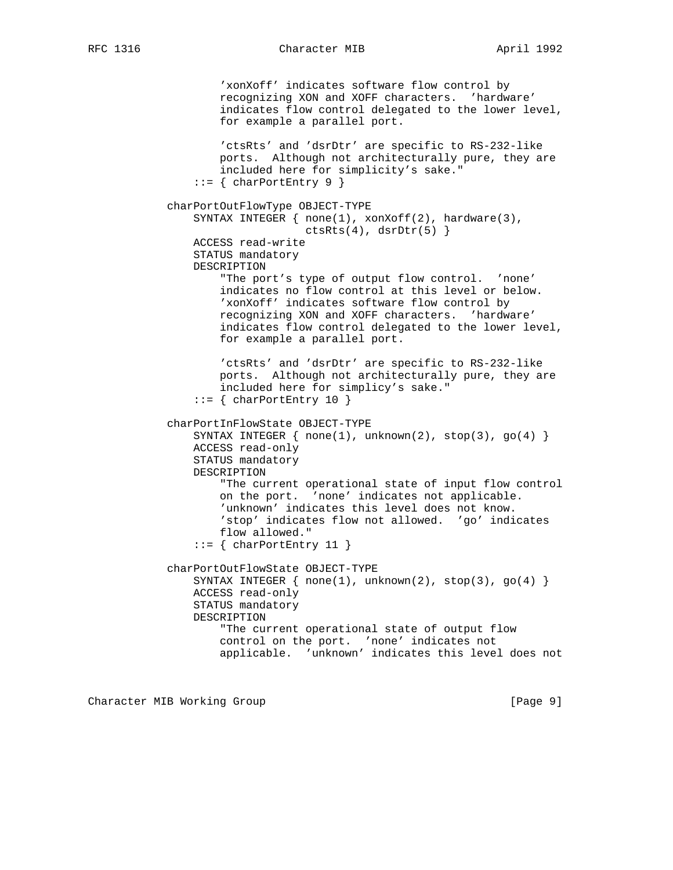'xonXoff' indicates software flow control by recognizing XON and XOFF characters. 'hardware' indicates flow control delegated to the lower level, for example a parallel port. 'ctsRts' and 'dsrDtr' are specific to RS-232-like ports. Although not architecturally pure, they are included here for simplicity's sake."  $::=$  { charPortEntry 9 } charPortOutFlowType OBJECT-TYPE SYNTAX INTEGER { none(1), xonXoff(2), hardware(3),  $ctsRts(4)$ ,  $dsrDtr(5)$  } ACCESS read-write STATUS mandatory DESCRIPTION "The port's type of output flow control. 'none' indicates no flow control at this level or below. 'xonXoff' indicates software flow control by recognizing XON and XOFF characters. 'hardware' indicates flow control delegated to the lower level, for example a parallel port. 'ctsRts' and 'dsrDtr' are specific to RS-232-like ports. Although not architecturally pure, they are included here for simplicy's sake."  $::=$  { charPortEntry 10 } charPortInFlowState OBJECT-TYPE SYNTAX INTEGER  $\{ none(1), unknown(2), stop(3), go(4) \}$  ACCESS read-only STATUS mandatory DESCRIPTION "The current operational state of input flow control on the port. 'none' indicates not applicable. 'unknown' indicates this level does not know. 'stop' indicates flow not allowed. 'go' indicates flow allowed."  $::=$  { charPortEntry 11 } charPortOutFlowState OBJECT-TYPE SYNTAX INTEGER  $\{ none(1), unknown(2), stop(3), go(4) \}$  ACCESS read-only STATUS mandatory DESCRIPTION "The current operational state of output flow control on the port. 'none' indicates not applicable. 'unknown' indicates this level does not

Character MIB Working Group **Example 20** (Page 9)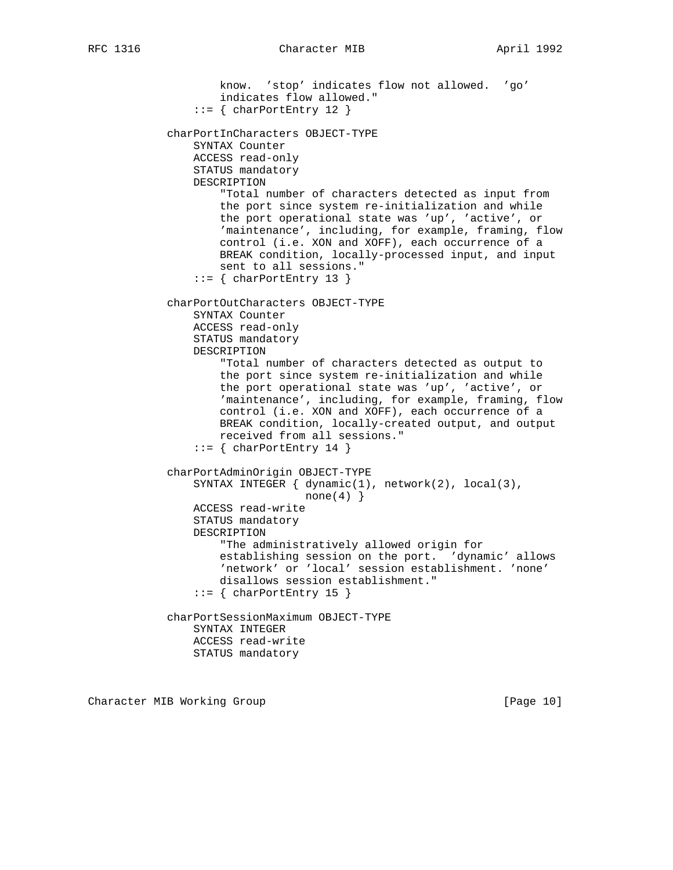```
 know. 'stop' indicates flow not allowed. 'go'
                   indicates flow allowed."
               ::= { charPortEntry 12 }
           charPortInCharacters OBJECT-TYPE
               SYNTAX Counter
               ACCESS read-only
               STATUS mandatory
               DESCRIPTION
                    "Total number of characters detected as input from
                   the port since system re-initialization and while
                   the port operational state was 'up', 'active', or
                   'maintenance', including, for example, framing, flow
                    control (i.e. XON and XOFF), each occurrence of a
                   BREAK condition, locally-processed input, and input
                   sent to all sessions."
               ::= { charPortEntry 13 }
           charPortOutCharacters OBJECT-TYPE
               SYNTAX Counter
               ACCESS read-only
               STATUS mandatory
               DESCRIPTION
                    "Total number of characters detected as output to
                    the port since system re-initialization and while
                    the port operational state was 'up', 'active', or
'maintenance', including, for example, framing, flow
control (i.e. XON and XOFF), each occurrence of a
                   BREAK condition, locally-created output, and output
                   received from all sessions."
               ::= { charPortEntry 14 }
           charPortAdminOrigin OBJECT-TYPE
               SYNTAX INTEGER { dynamic(1), network(2), local(3),
                               none(4)}
               ACCESS read-write
               STATUS mandatory
               DESCRIPTION
                    "The administratively allowed origin for
                   establishing session on the port. 'dynamic' allows
                    'network' or 'local' session establishment. 'none'
                   disallows session establishment."
               ::= { charPortEntry 15 }
           charPortSessionMaximum OBJECT-TYPE
               SYNTAX INTEGER
               ACCESS read-write
               STATUS mandatory
```
Character MIB Working Group **[Page 10]** [Page 10]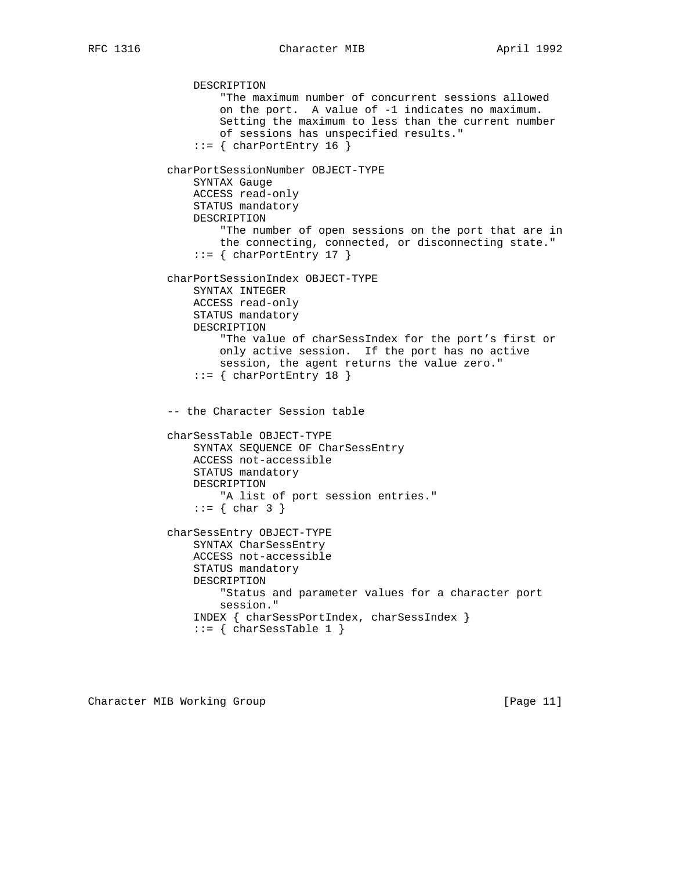DESCRIPTION "The maximum number of concurrent sessions allowed on the port. A value of -1 indicates no maximum. Setting the maximum to less than the current number of sessions has unspecified results."  $::=$  { charPortEntry 16 } charPortSessionNumber OBJECT-TYPE SYNTAX Gauge ACCESS read-only STATUS mandatory DESCRIPTION "The number of open sessions on the port that are in the connecting, connected, or disconnecting state."  $::=$  { charPortEntry 17 } charPortSessionIndex OBJECT-TYPE SYNTAX INTEGER ACCESS read-only STATUS mandatory DESCRIPTION "The value of charSessIndex for the port's first or only active session. If the port has no active session, the agent returns the value zero."  $::=$  { charPortEntry 18 } -- the Character Session table charSessTable OBJECT-TYPE SYNTAX SEQUENCE OF CharSessEntry ACCESS not-accessible STATUS mandatory DESCRIPTION "A list of port session entries."  $::=$  { char 3 } charSessEntry OBJECT-TYPE SYNTAX CharSessEntry ACCESS not-accessible STATUS mandatory DESCRIPTION "Status and parameter values for a character port session." INDEX { charSessPortIndex, charSessIndex }  $::=$  { charSessTable 1 }

Character MIB Working Group **[Page 11]** [Page 11]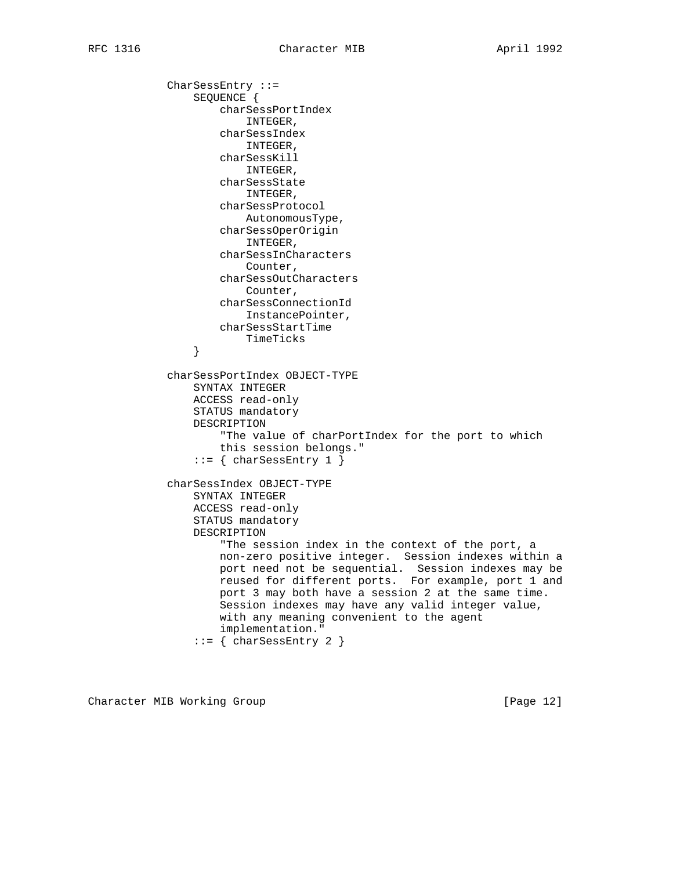CharSessEntry ::= SEQUENCE { charSessPortIndex INTEGER, charSessIndex INTEGER, charSessKill INTEGER, charSessState INTEGER, charSessProtocol AutonomousType, charSessOperOrigin INTEGER, charSessInCharacters Counter, charSessOutCharacters Counter, charSessConnectionId InstancePointer, charSessStartTime TimeTicks } charSessPortIndex OBJECT-TYPE SYNTAX INTEGER ACCESS read-only STATUS mandatory DESCRIPTION "The value of charPortIndex for the port to which this session belongs."  $::=$  { charSessEntry 1 } charSessIndex OBJECT-TYPE SYNTAX INTEGER ACCESS read-only STATUS mandatory DESCRIPTION "The session index in the context of the port, a non-zero positive integer. Session indexes within a port need not be sequential. Session indexes may be reused for different ports. For example, port 1 and port 3 may both have a session 2 at the same time. Session indexes may have any valid integer value, with any meaning convenient to the agent implementation."  $::=$  { charSessEntry 2 }

Character MIB Working Group [Page 12]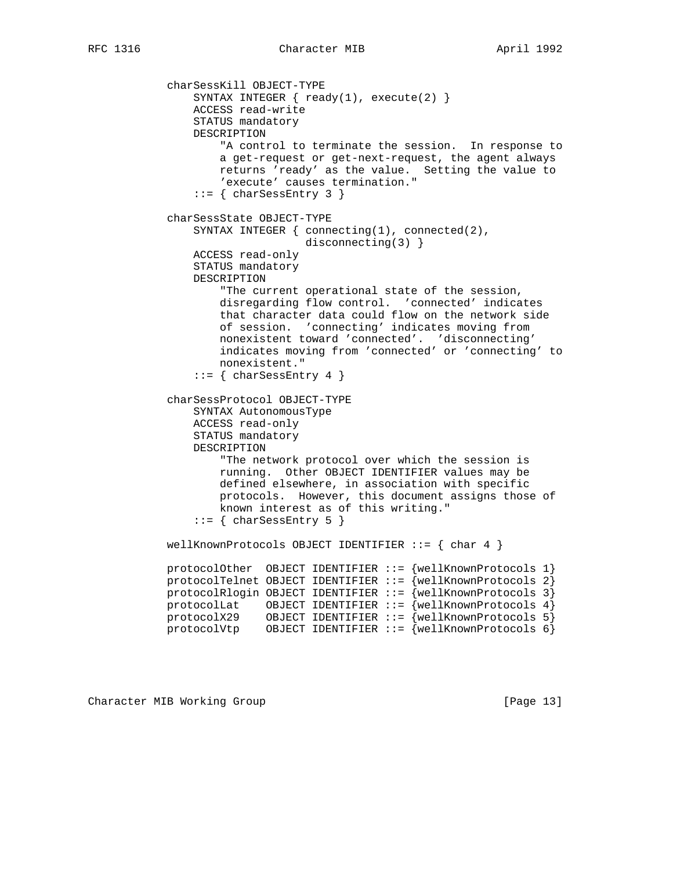charSessKill OBJECT-TYPE SYNTAX INTEGER  $\{ \text{ready}(1), \text{ execute}(2) \}$  ACCESS read-write STATUS mandatory DESCRIPTION "A control to terminate the session. In response to a get-request or get-next-request, the agent always returns 'ready' as the value. Setting the value to 'execute' causes termination."  $::=$  { charSessEntry 3 } charSessState OBJECT-TYPE SYNTAX INTEGER { connecting(1), connected(2), disconnecting(3) } ACCESS read-only STATUS mandatory DESCRIPTION "The current operational state of the session, disregarding flow control. 'connected' indicates that character data could flow on the network side of session. 'connecting' indicates moving from nonexistent toward 'connected'. 'disconnecting' indicates moving from 'connected' or 'connecting' to nonexistent." ::= { charSessEntry 4 } charSessProtocol OBJECT-TYPE SYNTAX AutonomousType ACCESS read-only STATUS mandatory DESCRIPTION "The network protocol over which the session is running. Other OBJECT IDENTIFIER values may be defined elsewhere, in association with specific protocols. However, this document assigns those of known interest as of this writing."  $::=$  { charSessEntry 5 } wellKnownProtocols OBJECT IDENTIFIER  $::=$  { char 4 } protocolOther OBJECT IDENTIFIER ::= {wellKnownProtocols 1} protocolTelnet OBJECT IDENTIFIER ::= {wellKnownProtocols 2} protocolRlogin OBJECT IDENTIFIER  $::=$  {wellKnownProtocols 3} protocolLat OBJECT IDENTIFIER ::= {wellKnownProtocols 4} protocolX29 OBJECT IDENTIFIER ::= {wellKnownProtocols 5} protocolVtp OBJECT IDENTIFIER ::=  $\overline{\{wellK}$ nownProtocols 6 $\overline{\}$ 

Character MIB Working Group **[Page 13]** [Page 13]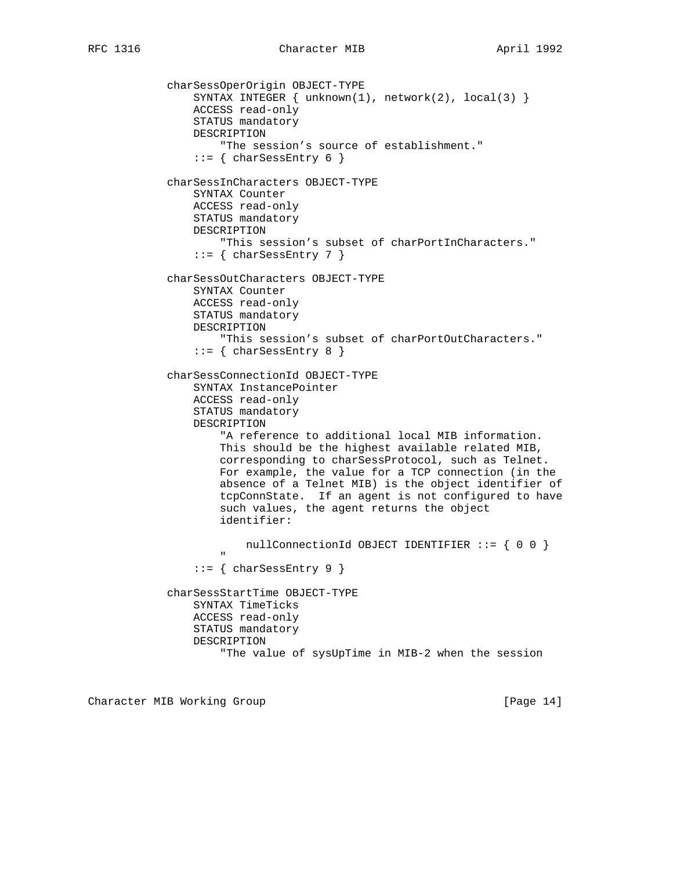charSessOperOrigin OBJECT-TYPE SYNTAX INTEGER  $\{ unknown(1)$ , network(2), local(3)  $\}$  ACCESS read-only STATUS mandatory DESCRIPTION "The session's source of establishment."  $::=$  { charSessEntry 6 } charSessInCharacters OBJECT-TYPE SYNTAX Counter ACCESS read-only STATUS mandatory DESCRIPTION "This session's subset of charPortInCharacters."  $::=$  { charSessEntry 7 } charSessOutCharacters OBJECT-TYPE SYNTAX Counter ACCESS read-only STATUS mandatory DESCRIPTION "This session's subset of charPortOutCharacters."  $::=$  { charSessEntry 8 } charSessConnectionId OBJECT-TYPE SYNTAX InstancePointer ACCESS read-only STATUS mandatory DESCRIPTION "A reference to additional local MIB information. This should be the highest available related MIB, corresponding to charSessProtocol, such as Telnet. For example, the value for a TCP connection (in the absence of a Telnet MIB) is the object identifier of tcpConnState. If an agent is not configured to have such values, the agent returns the object identifier: nullConnectionId OBJECT IDENTIFIER ::= { 0 0 } " ::= { charSessEntry 9 } charSessStartTime OBJECT-TYPE SYNTAX TimeTicks ACCESS read-only STATUS mandatory DESCRIPTION "The value of sysUpTime in MIB-2 when the session

Character MIB Working Group **[Page 14]** [Page 14]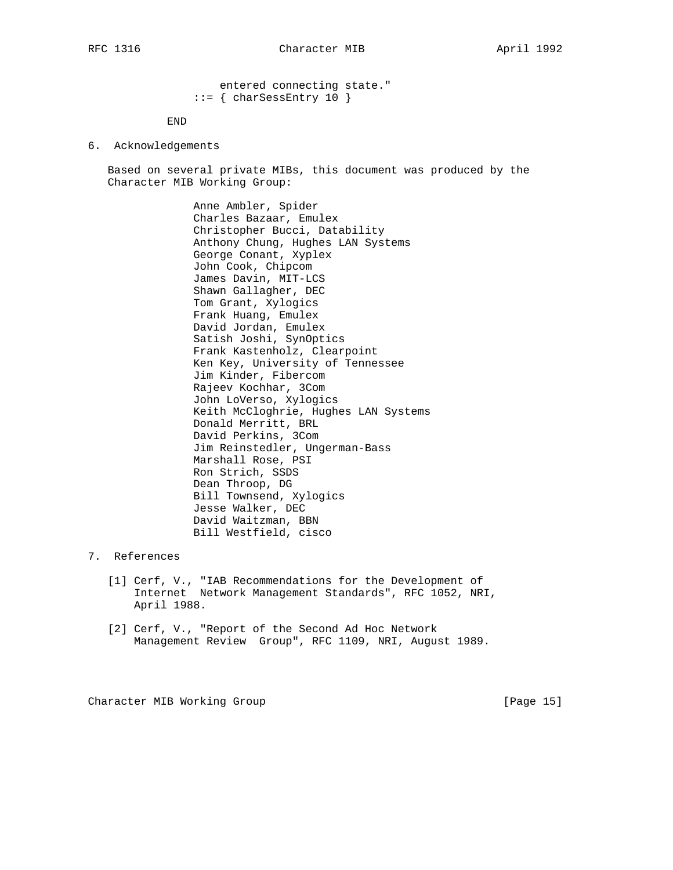entered connecting state."  $::=$  { charSessEntry 10 }

END

6. Acknowledgements

 Based on several private MIBs, this document was produced by the Character MIB Working Group:

> Anne Ambler, Spider Charles Bazaar, Emulex Christopher Bucci, Datability Anthony Chung, Hughes LAN Systems George Conant, Xyplex John Cook, Chipcom James Davin, MIT-LCS Shawn Gallagher, DEC Tom Grant, Xylogics Frank Huang, Emulex David Jordan, Emulex Satish Joshi, SynOptics Frank Kastenholz, Clearpoint Ken Key, University of Tennessee Jim Kinder, Fibercom Rajeev Kochhar, 3Com John LoVerso, Xylogics Keith McCloghrie, Hughes LAN Systems Donald Merritt, BRL David Perkins, 3Com Jim Reinstedler, Ungerman-Bass Marshall Rose, PSI Ron Strich, SSDS Dean Throop, DG Bill Townsend, Xylogics Jesse Walker, DEC David Waitzman, BBN Bill Westfield, cisco

- 7. References
	- [1] Cerf, V., "IAB Recommendations for the Development of Internet Network Management Standards", RFC 1052, NRI, April 1988.
	- [2] Cerf, V., "Report of the Second Ad Hoc Network Management Review Group", RFC 1109, NRI, August 1989.

Character MIB Working Group **[Page 15]** [Page 15]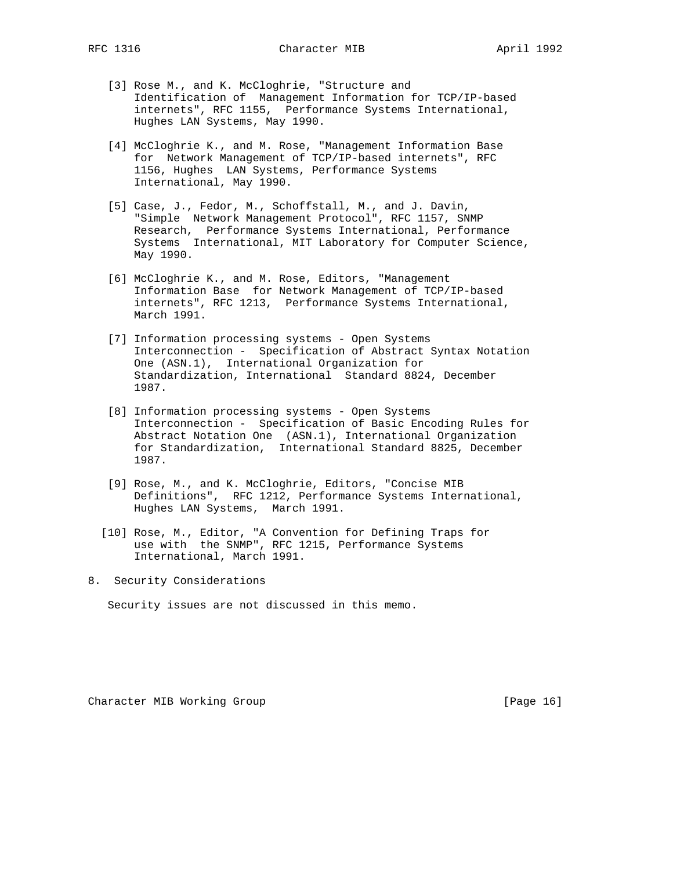- [3] Rose M., and K. McCloghrie, "Structure and Identification of Management Information for TCP/IP-based internets", RFC 1155, Performance Systems International, Hughes LAN Systems, May 1990.
- [4] McCloghrie K., and M. Rose, "Management Information Base for Network Management of TCP/IP-based internets", RFC 1156, Hughes LAN Systems, Performance Systems International, May 1990.
- [5] Case, J., Fedor, M., Schoffstall, M., and J. Davin, "Simple Network Management Protocol", RFC 1157, SNMP Research, Performance Systems International, Performance Systems International, MIT Laboratory for Computer Science, May 1990.
- [6] McCloghrie K., and M. Rose, Editors, "Management Information Base for Network Management of TCP/IP-based internets", RFC 1213, Performance Systems International, March 1991.
- [7] Information processing systems Open Systems Interconnection - Specification of Abstract Syntax Notation One (ASN.1), International Organization for Standardization, International Standard 8824, December 1987.
- [8] Information processing systems Open Systems Interconnection - Specification of Basic Encoding Rules for Abstract Notation One (ASN.1), International Organization for Standardization, International Standard 8825, December 1987.
- [9] Rose, M., and K. McCloghrie, Editors, "Concise MIB Definitions", RFC 1212, Performance Systems International, Hughes LAN Systems, March 1991.
- [10] Rose, M., Editor, "A Convention for Defining Traps for use with the SNMP", RFC 1215, Performance Systems International, March 1991.
- 8. Security Considerations

Security issues are not discussed in this memo.